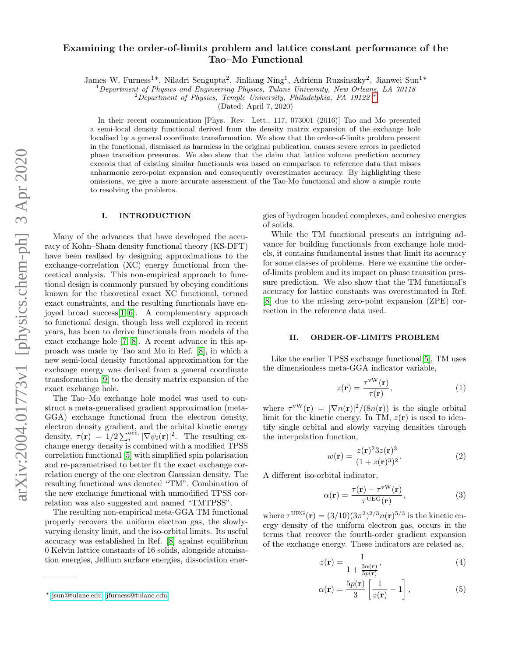# Examining the order-of-limits problem and lattice constant performance of the Tao–Mo Functional

James W. Furness<sup>1\*</sup>, Niladri Sengupta<sup>2</sup>, Jinliang Ning<sup>1</sup>, Adrienn Ruzsinszky<sup>2</sup>, Jianwei Sun<sup>1\*</sup>

 $1$  Department of Physics and Engineering Physics, Tulane University, New Orleans, LA 70118

 $2$ Department of Physics, Temple University, Philadelphia, PA 19122

(Dated: April 7, 2020)

In their recent communication [Phys. Rev. Lett., 117, 073001 (2016)] Tao and Mo presented a semi-local density functional derived from the density matrix expansion of the exchange hole localised by a general coordinate transformation. We show that the order-of-limits problem present in the functional, dismissed as harmless in the original publication, causes severe errors in predicted phase transition pressures. We also show that the claim that lattice volume prediction accuracy exceeds that of existing similar functionals was based on comparison to reference data that misses anharmonic zero-point expansion and consequently overestimates accuracy. By highlighting these omissions, we give a more accurate assessment of the Tao-Mo functional and show a simple route to resolving the problems.

#### I. INTRODUCTION

Many of the advances that have developed the accuracy of Kohn–Sham density functional theory (KS-DFT) have been realised by designing approximations to the exchange-correlation (XC) energy functional from theoretical analysis. This non-empirical approach to functional design is commonly pursued by obeying conditions known for the theoretical exact XC functional, termed exact constraints, and the resulting functionals have enjoyed broad success[\[1](#page-3-0)[–6\]](#page-3-1). A complementary approach to functional design, though less well explored in recent years, has been to derive functionals from models of the exact exchange hole [\[7,](#page-3-2) [8\]](#page-3-3). A recent advance in this approach was made by Tao and Mo in Ref. [\[8\]](#page-3-3), in which a new semi-local density functional approximation for the exchange energy was derived from a general coordinate transformation [\[9\]](#page-3-4) to the density matrix expansion of the exact exchange hole.

The Tao–Mo exchange hole model was used to construct a meta-generalised gradient approximation (meta-GGA) exchange functional from the electron density, electron density gradient, and the orbital kinetic energy density,  $\tau(\mathbf{r}) = 1/2 \sum_{i}^{\text{occ.}} |\nabla \psi_i(\mathbf{r})|^2$ . The resulting exchange energy density is combined with a modified TPSS correlation functional [\[5\]](#page-3-5) with simplified spin polarisation and re-parametrised to better fit the exact exchange correlation energy of the one electron Gaussian density. The resulting functional was denoted "TM". Combination of the new exchange functional with unmodified TPSS correlation was also suggested and named "TMTPSS".

The resulting non-empirical meta-GGA TM functional properly recovers the uniform electron gas, the slowlyvarying density limit, and the iso-orbital limits. Its useful accuracy was established in Ref. [\[8\]](#page-3-3) against equilibrium 0 Kelvin lattice constants of 16 solids, alongside atomisation energies, Jellium surface energies, dissociation ener-

gies of hydrogen bonded complexes, and cohesive energies of solids.

While the TM functional presents an intriguing advance for building functionals from exchange hole models, it contains fundamental issues that limit its accuracy for some classes of problems. Here we examine the orderof-limits problem and its impact on phase transition pressure prediction. We also show that the TM functional's accuracy for lattice constants was overestimated in Ref. [\[8\]](#page-3-3) due to the missing zero-point expansion (ZPE) correction in the reference data used.

### <span id="page-0-3"></span>II. ORDER-OF-LIMITS PROBLEM

Like the earlier TPSS exchange functional[\[5\]](#page-3-5), TM uses the dimensionless meta-GGA indicator variable,

$$
z(\mathbf{r}) = \frac{\tau^{\text{vW}}(\mathbf{r})}{\tau(\mathbf{r})},\tag{1}
$$

where  $\tau^{vW}(\mathbf{r}) = |\nabla n(\mathbf{r})|^2/(8n(\mathbf{r}))$  is the single orbital limit for the kinetic energy. In TM,  $z(\mathbf{r})$  is used to identify single orbital and slowly varying densities through the interpolation function,

<span id="page-0-2"></span>
$$
w(\mathbf{r}) = \frac{z(\mathbf{r})^2 3z(\mathbf{r})^3}{(1 + z(\mathbf{r})^3)^2}.
$$
 (2)

A different iso-orbital indicator,

$$
\alpha(\mathbf{r}) = \frac{\tau(\mathbf{r}) - \tau^{\text{vW}}(\mathbf{r})}{\tau^{\text{UEG}}(\mathbf{r})},\tag{3}
$$

where  $\tau^{\text{UEG}}(\mathbf{r}) = (3/10)(3\pi^2)^{2/3} n(\mathbf{r})^{5/3}$  is the kinetic energy density of the uniform electron gas, occurs in the terms that recover the fourth-order gradient expansion of the exchange energy. These indicators are related as,

<span id="page-0-1"></span>
$$
z(\mathbf{r}) = \frac{1}{1 + \frac{3\alpha(\mathbf{r})}{5p(\mathbf{r})}},\tag{4}
$$

$$
\alpha(\mathbf{r}) = \frac{5p(\mathbf{r})}{3} \left[ \frac{1}{z(\mathbf{r})} - 1 \right],\tag{5}
$$

<span id="page-0-0"></span><sup>∗</sup> [jsun@tulane.edu;](mailto:jsun@tulane.edu) [jfurness@tulane.edu](mailto:jfurness@tulane.edu)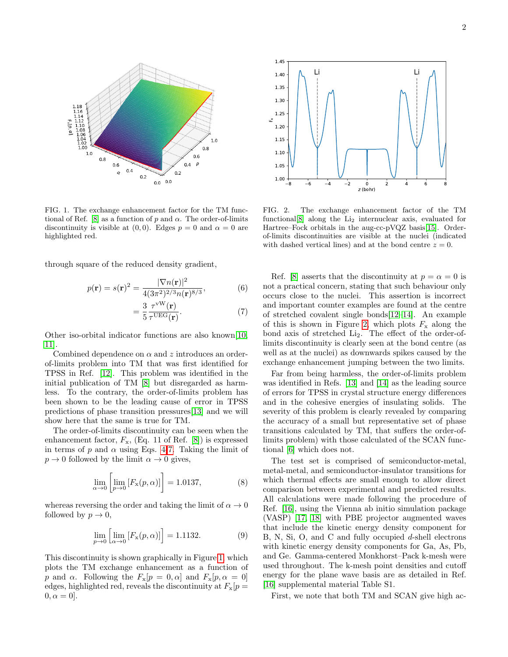

<span id="page-1-1"></span>FIG. 1. The exchange enhancement factor for the TM func-tional of Ref. [\[8\]](#page-3-3) as a function of p and  $\alpha$ . The order-of-limits discontinuity is visible at  $(0, 0)$ . Edges  $p = 0$  and  $\alpha = 0$  are highlighted red.

through square of the reduced density gradient,

$$
p(\mathbf{r}) = s(\mathbf{r})^2 = \frac{|\nabla n(\mathbf{r})|^2}{4(3\pi^2)^{2/3}n(\mathbf{r})^{8/3}},
$$
(6)

$$
=\frac{3}{5}\frac{\tau^{vW}(\mathbf{r})}{\tau^{UEG}(\mathbf{r})}.
$$
 (7)

Other iso-orbital indicator functions are also known[\[10,](#page-3-6) [11\]](#page-3-7).

Combined dependence on  $\alpha$  and z introduces an orderof-limits problem into TM that was first identified for TPSS in Ref. [\[12\]](#page-3-8). This problem was identified in the initial publication of TM [\[8\]](#page-3-3) but disregarded as harmless. To the contrary, the order-of-limits problem has been shown to be the leading cause of error in TPSS predictions of phase transition pressures[\[13\]](#page-3-9) and we will show here that the same is true for TM.

The order-of-limits discontinuity can be seen when the enhancement factor,  $F_{\rm x}$ , (Eq. 11 of Ref. [\[8\]](#page-3-3)) is expressed in terms of p and  $\alpha$  using Eqs. [4-](#page-0-1)[7.](#page-1-0) Taking the limit of  $p \to 0$  followed by the limit  $\alpha \to 0$  gives,

$$
\lim_{\alpha \to 0} \left[ \lim_{p \to 0} \left[ F_{\mathbf{x}}(p, \alpha) \right] \right] = 1.0137, \tag{8}
$$

whereas reversing the order and taking the limit of  $\alpha \to 0$ followed by  $p \to 0$ ,

$$
\lim_{p \to 0} \left[ \lim_{\alpha \to 0} \left[ F_{\mathbf{x}}(p, \alpha) \right] \right] = 1.1132. \tag{9}
$$

This discontinuity is shown graphically in Figure [1,](#page-1-1) which plots the TM exchange enhancement as a function of p and  $\alpha$ . Following the  $F_x[p = 0, \alpha]$  and  $F_x[p, \alpha = 0]$ edges, highlighted red, reveals the discontinuity at  $F_{\rm x}[p]$  $0, \alpha = 0$ .



<span id="page-1-2"></span>FIG. 2. The exchange enhancement factor of the TM functional<sup>[\[8\]](#page-3-3)</sup> along the  $Li<sub>2</sub>$  internuclear axis, evaluated for Hartree–Fock orbitals in the aug-cc-pVQZ basis[\[15\]](#page-4-0). Orderof-limits discontinuities are visible at the nuclei (indicated with dashed vertical lines) and at the bond centre  $z = 0$ .

<span id="page-1-0"></span>Ref. [\[8\]](#page-3-3) asserts that the discontinuity at  $p = \alpha = 0$  is not a practical concern, stating that such behaviour only occurs close to the nuclei. This assertion is incorrect and important counter examples are found at the centre of stretched covalent single bonds[\[12–](#page-3-8)[14\]](#page-3-10). An example of this is shown in Figure [2,](#page-1-2) which plots  $F_x$  along the bond axis of stretched Li2. The effect of the order-oflimits discontinuity is clearly seen at the bond centre (as well as at the nuclei) as downwards spikes caused by the exchange enhancement jumping between the two limits.

Far from being harmless, the order-of-limits problem was identified in Refs. [\[13\]](#page-3-9) and [\[14\]](#page-3-10) as the leading source of errors for TPSS in crystal structure energy differences and in the cohesive energies of insulating solids. The severity of this problem is clearly revealed by comparing the accuracy of a small but representative set of phase transitions calculated by TM, that suffers the order-oflimits problem) with those calculated of the SCAN functional [\[6\]](#page-3-1) which does not.

The test set is comprised of semiconductor-metal, metal-metal, and semiconductor-insulator transitions for which thermal effects are small enough to allow direct comparison between experimental and predicted results. All calculations were made following the procedure of Ref. [\[16\]](#page-4-1), using the Vienna ab initio simulation package (VASP) [\[17,](#page-4-2) [18\]](#page-4-3) with PBE projector augmented waves that include the kinetic energy density component for B, N, Si, O, and C and fully occupied d-shell electrons with kinetic energy density components for Ga, As, Pb, and Ge. Gamma-centered Monkhorst–Pack k-mesh were used throughout. The k-mesh point densities and cutoff energy for the plane wave basis are as detailed in Ref. [\[16\]](#page-4-1) supplemental material Table S1.

First, we note that both TM and SCAN give high ac-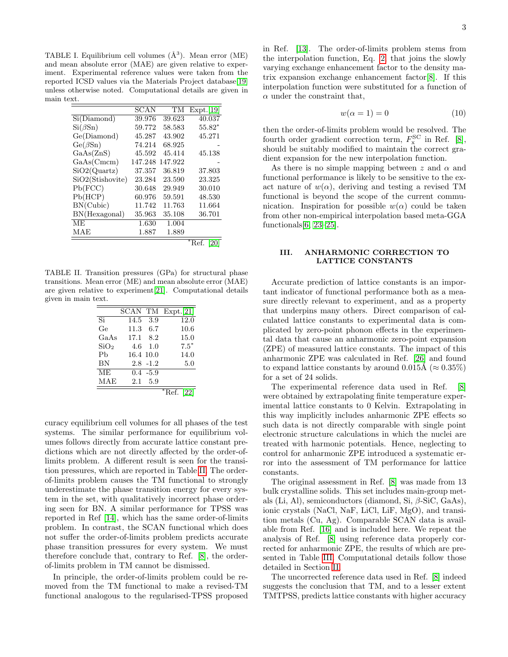TABLE I. Equilibrium cell volumes  $(\AA^3)$ . Mean error (ME) and mean absolute error (MAE) are given relative to experiment. Experimental reference values were taken from the reported ICSD values via the Materials Project database[\[19\]](#page-4-4) unless otherwise noted. Computational details are given in main text.

|                  | SCAN    | TM      | Expt.[19] |
|------------------|---------|---------|-----------|
| Si(Diamond)      | 39.976  | 39.623  | 40.037    |
| $Si(\beta Sn)$   | 59.772  | 58.583  | $55.82*$  |
| Ge(Diamond)      | 45.287  | 43.902  | 45.271    |
| $Ge(\beta Sn)$   | 74.214  | 68.925  |           |
| GaAs(ZnS)        | 45.592  | 45.414  | 45.138    |
| GaAs(Cmcm)       | 147.248 | 147.922 |           |
| SiO2(Quartz)     | 37.357  | 36.819  | 37.803    |
| SiO2(Stishovite) | 23.284  | 23.590  | 23.325    |
| Pb(FCC)          | 30.648  | 29.949  | 30.010    |
| Pb(HCP)          | 60.976  | 59.591  | 48.530    |
| BN(Cubic)        | 11.742  | 11.763  | 11.664    |
| BN(Hexagonal)    | 35.963  | 35.108  | 36.701    |
| <b>ME</b>        | 1.630   | 1.004   |           |
| MAE              | 1.887   | 1.889   |           |
|                  |         |         | $*Ref.$   |

TABLE II. Transition pressures (GPa) for structural phase transitions. Mean error (ME) and mean absolute error (MAE) are given relative to experiment[\[21\]](#page-4-6). Computational details given in main text.

<span id="page-2-0"></span>

|                  |           |             | SCAN TM Expt.[21] |
|------------------|-----------|-------------|-------------------|
| $\overline{Si}$  | 14.5      | 3.9         | 12.0              |
| Ge               | 11.3      | 6.7         | 10.6              |
| GaAs             | 17.1      | 8.2         | 15.0              |
| SiO <sub>2</sub> | 4.6       | 1.0         | $7.5*$            |
| Ph               | 16.4 10.0 |             | 14.0              |
| BN               |           | $2.8 - 1.2$ | 5.0               |
| <b>ME</b>        |           | $0.4 - 5.9$ |                   |
| MAE              |           | 2.1 5.9     |                   |
|                  |           |             |                   |

curacy equilibrium cell volumes for all phases of the test systems. The similar performance for equilibrium volumes follows directly from accurate lattice constant predictions which are not directly affected by the order-oflimits problem. A different result is seen for the transition pressures, which are reported in Table [II.](#page-2-0) The orderof-limits problem causes the TM functional to strongly underestimate the phase transition energy for every system in the set, with qualitatively incorrect phase ordering seen for BN. A similar performance for TPSS was reported in Ref [\[14\]](#page-3-10), which has the same order-of-limits problem. In contrast, the SCAN functional which does not suffer the order-of-limits problem predicts accurate phase transition pressures for every system. We must therefore conclude that, contrary to Ref. [\[8\]](#page-3-3), the orderof-limits problem in TM cannot be dismissed.

In principle, the order-of-limits problem could be removed from the TM functional to make a revised-TM functional analogous to the regularised-TPSS proposed in Ref. [\[13\]](#page-3-9). The order-of-limits problem stems from the interpolation function, Eq. [2,](#page-0-2) that joins the slowly varying exchange enhancement factor to the density matrix expansion exchange enhancement factor[\[8\]](#page-3-3). If this interpolation function were substituted for a function of  $\alpha$  under the constraint that,

$$
w(\alpha = 1) = 0 \tag{10}
$$

then the order-of-limits problem would be resolved. The fourth order gradient correction term,  $F_{\rm x}^{\rm SC}$  in Ref. [\[8\]](#page-3-3), should be suitably modified to maintain the correct gradient expansion for the new interpolation function.

As there is no simple mapping between z and  $\alpha$  and functional performance is likely to be sensitive to the exact nature of  $w(\alpha)$ , deriving and testing a revised TM functional is beyond the scope of the current communication. Inspiration for possible  $w(\alpha)$  could be taken from other non-empirical interpolation based meta-GGA functionals[\[6,](#page-3-1) [23](#page-4-8)[–25\]](#page-4-9).

# III. ANHARMONIC CORRECTION TO LATTICE CONSTANTS

Accurate prediction of lattice constants is an important indicator of functional performance both as a measure directly relevant to experiment, and as a property that underpins many others. Direct comparison of calculated lattice constants to experimental data is complicated by zero-point phonon effects in the experimental data that cause an anharmonic zero-point expansion (ZPE) of measured lattice constants. The impact of this anharmonic ZPE was calculated in Ref. [\[26\]](#page-4-10) and found to expand lattice constants by around 0.015Å ( $\approx 0.35\%$ ) for a set of 24 solids.

The experimental reference data used in Ref. [\[8\]](#page-3-3) were obtained by extrapolating finite temperature experimental lattice constants to 0 Kelvin. Extrapolating in this way implicitly includes anharmonic ZPE effects so such data is not directly comparable with single point electronic structure calculations in which the nuclei are treated with harmonic potentials. Hence, neglecting to control for anharmonic ZPE introduced a systematic error into the assessment of TM performance for lattice constants.

The original assessment in Ref. [\[8\]](#page-3-3) was made from 13 bulk crystalline solids. This set includes main-group metals (Li, Al), semiconductors (diamond, Si, β-SiC, GaAs), ionic crystals (NaCl, NaF, LiCl, LiF, MgO), and transition metals (Cu, Ag). Comparable SCAN data is available from Ref. [\[16\]](#page-4-1) and is included here. We repeat the analysis of Ref. [\[8\]](#page-3-3) using reference data properly corrected for anharmonic ZPE, the results of which are presented in Table [III.](#page-3-11) Computational details follow those detailed in Section [II.](#page-0-3)

The uncorrected reference data used in Ref. [\[8\]](#page-3-3) indeed suggests the conclusion that TM, and to a lesser extent TMTPSS, predicts lattice constants with higher accuracy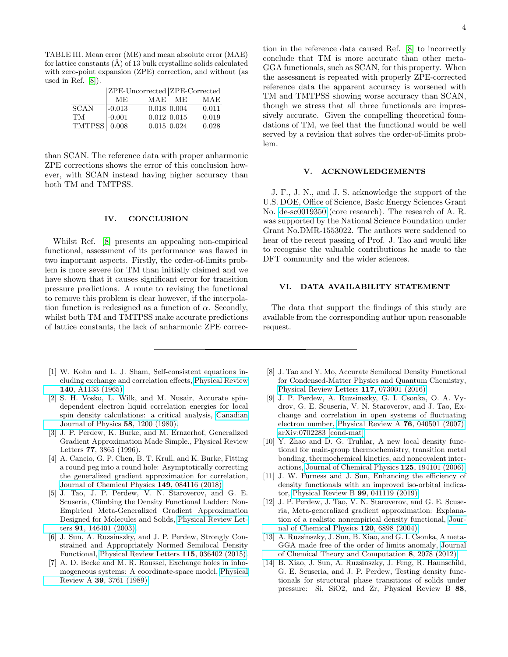<span id="page-3-11"></span>TABLE III. Mean error (ME) and mean absolute error (MAE) for lattice constants  $(\hat{A})$  of 13 bulk crystalline solids calculated with zero-point expansion (ZPE) correction, and without (as used in Ref. [\[8\]](#page-3-3)).

|                      | ZPE-Uncorrected ZPE-Corrected |               |        |       |
|----------------------|-------------------------------|---------------|--------|-------|
|                      | ME.                           |               | MAE ME | MAE   |
| $\overline{S}$ CAN   | $-0.013$                      | 0.018   0.004 |        | 0.011 |
| <b>TM</b>            | $-0.001$                      | 0.012 0.015   |        | 0.019 |
| TMTPSS $\vert$ 0.008 |                               | 0.015 0.024   |        | 0.028 |

than SCAN. The reference data with proper anharmonic ZPE corrections shows the error of this conclusion however, with SCAN instead having higher accuracy than both TM and TMTPSS.

### IV. CONCLUSION

Whilst Ref. [\[8\]](#page-3-3) presents an appealing non-empirical functional, assessment of its performance was flawed in two important aspects. Firstly, the order-of-limits problem is more severe for TM than initially claimed and we have shown that it causes significant error for transition pressure predictions. A route to revising the functional to remove this problem is clear however, if the interpolation function is redesigned as a function of  $\alpha$ . Secondly, whilst both TM and TMTPSS make accurate predictions of lattice constants, the lack of anharmonic ZPE correc-

- <span id="page-3-0"></span>[1] W. Kohn and L. J. Sham, Self-consistent equations including exchange and correlation effects, [Physical Review](https://doi.org/10.1103/PhysRev.140.A1133) 140[, A1133 \(1965\).](https://doi.org/10.1103/PhysRev.140.A1133)
- [2] S. H. Vosko, L. Wilk, and M. Nusair, Accurate spindependent electron liquid correlation energies for local spin density calculations: a critical analysis, [Canadian](https://doi.org/10.1139/p80-159) [Journal of Physics](https://doi.org/10.1139/p80-159) 58, 1200 (1980).
- [3] J. P. Perdew, K. Burke, and M. Ernzerhof, Generalized Gradient Approximation Made Simple., Physical Review Letters 77, 3865 (1996).
- [4] A. Cancio, G. P. Chen, B. T. Krull, and K. Burke, Fitting a round peg into a round hole: Asymptotically correcting the generalized gradient approximation for correlation, [Journal of Chemical Physics](https://doi.org/10.1063/1.5021597) 149, 084116 (2018).
- <span id="page-3-5"></span>[5] J. Tao, J. P. Perdew, V. N. Staroverov, and G. E. Scuseria, Climbing the Density Functional Ladder: Non-Empirical Meta-Generalized Gradient Approximation Designed for Molecules and Solids, [Physical Review Let](https://doi.org/10.1103/PhysRevLett.91.146401)ters 91[, 146401 \(2003\).](https://doi.org/10.1103/PhysRevLett.91.146401)
- <span id="page-3-1"></span>[6] J. Sun, A. Ruzsinszky, and J. P. Perdew, Strongly Constrained and Appropriately Normed Semilocal Density Functional, [Physical Review Letters](https://doi.org/10.1103/PhysRevLett.115.036402) 115, 036402 (2015).
- <span id="page-3-2"></span>[7] A. D. Becke and M. R. Roussel, Exchange holes in inhomogeneous systems: A coordinate-space model, [Physical](https://doi.org/10.1103/PhysRevA.39.3761) Review A 39[, 3761 \(1989\).](https://doi.org/10.1103/PhysRevA.39.3761)

tion in the reference data caused Ref. [\[8\]](#page-3-3) to incorrectly conclude that TM is more accurate than other meta-GGA functionals, such as SCAN, for this property. When the assessment is repeated with properly ZPE-corrected reference data the apparent accuracy is worsened with TM and TMTPSS showing worse accuracy than SCAN, though we stress that all three functionals are impressively accurate. Given the compelling theoretical foundations of TM, we feel that the functional would be well served by a revision that solves the order-of-limits problem.

### V. ACKNOWLEDGEMENTS

J. F., J. N., and J. S. acknowledge the support of the U.S. DOE, Office of Science, Basic Energy Sciences Grant No. [de-sc0019350](http://arxiv.org/abs/de-sc/0019350) (core research). The research of A. R. was supported by the National Science Foundation under Grant No.DMR-1553022. The authors were saddened to hear of the recent passing of Prof. J. Tao and would like to recognise the valuable contributions he made to the DFT community and the wider sciences.

## VI. DATA AVAILABILITY STATEMENT

The data that support the findings of this study are available from the corresponding author upon reasonable request.

- <span id="page-3-3"></span>[8] J. Tao and Y. Mo, Accurate Semilocal Density Functional for Condensed-Matter Physics and Quantum Chemistry, [Physical Review Letters](https://doi.org/10.1103/PhysRevLett.117.073001) 117, 073001 (2016).
- <span id="page-3-4"></span>[9] J. P. Perdew, A. Ruzsinszky, G. I. Csonka, O. A. Vydrov, G. E. Scuseria, V. N. Staroverov, and J. Tao, Exchange and correlation in open systems of fluctuating electron number, [Physical Review A](https://doi.org/10.1103/PhysRevA.76.040501) 76, 040501 (2007), [arXiv:0702283 \[cond-mat\].](https://arxiv.org/abs/0702283)
- <span id="page-3-6"></span>[10] Y. Zhao and D. G. Truhlar, A new local density functional for main-group thermochemistry, transition metal bonding, thermochemical kinetics, and noncovalent interactions, [Journal of Chemical Physics](https://doi.org/10.1063/1.2370993) 125, 194101 (2006).
- <span id="page-3-7"></span>[11] J. W. Furness and J. Sun, Enhancing the efficiency of density functionals with an improved iso-orbital indicator, [Physical Review B](https://doi.org/10.1103/PhysRevB.99.041119) 99, 041119 (2019).
- <span id="page-3-8"></span>[12] J. P. Perdew, J. Tao, V. N. Staroverov, and G. E. Scuseria, Meta-generalized gradient approximation: Explanation of a realistic nonempirical density functional, [Jour](https://doi.org/10.1063/1.1665298)[nal of Chemical Physics](https://doi.org/10.1063/1.1665298) 120, 6898 (2004).
- <span id="page-3-9"></span>[13] A. Ruzsinszky, J. Sun, B. Xiao, and G. I. Csonka, A meta-GGA made free of the order of limits anomaly, [Journal](https://doi.org/10.1021/ct300269u) [of Chemical Theory and Computation](https://doi.org/10.1021/ct300269u) 8, 2078 (2012).
- <span id="page-3-10"></span>[14] B. Xiao, J. Sun, A. Ruzsinszky, J. Feng, R. Haunschild, G. E. Scuseria, and J. P. Perdew, Testing density functionals for structural phase transitions of solids under pressure: Si, SiO2, and Zr, Physical Review B 88,